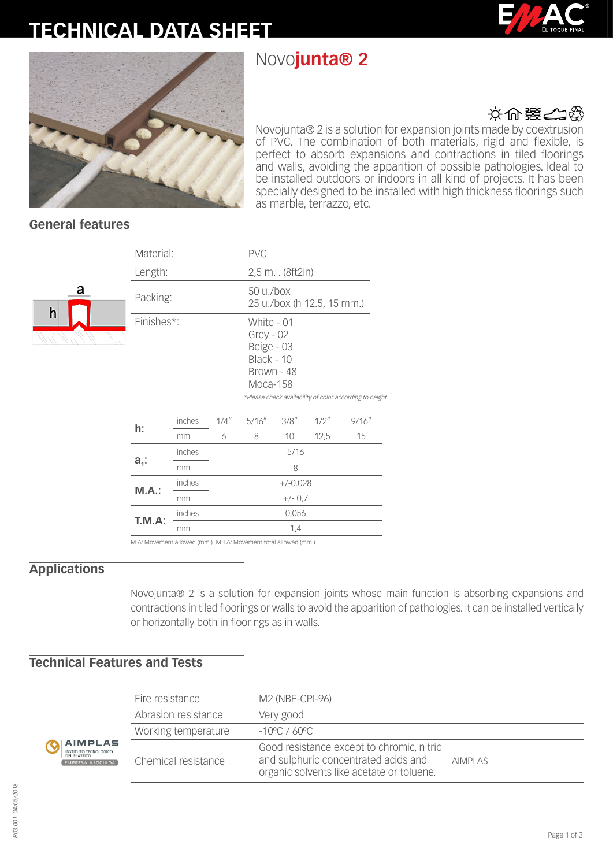# **TECHNICAL DATA SHEET**

# Novo**junta® 2**





## 文の器の役

Novojunta® 2 is a solution for expansion joints made by coextrusion of PVC. The combination of both materials, rigid and flexible, is perfect to absorb expansions and contractions in tiled floorings and walls, avoiding the apparition of possible pathologies. Ideal to be installed outdoors or indoors in all kind of projects. It has been specially designed to be installed with high thickness floorings such as marble, terrazzo, etc.

### **General features**

а

|  | Material:  |        |                                         | <b>PVC</b> |                                                                                                                                            |      |        |  |
|--|------------|--------|-----------------------------------------|------------|--------------------------------------------------------------------------------------------------------------------------------------------|------|--------|--|
|  | Length:    |        |                                         |            | 2,5 m.l. (8ft2in)                                                                                                                          |      |        |  |
|  | Packing:   |        | 50 u./box<br>25 u./box (h 12.5, 15 mm.) |            |                                                                                                                                            |      |        |  |
|  | Finishes*: |        |                                         |            | White - 01<br>$Grey - 02$<br>Beige - 03<br>Black - 10<br>Brown - 48<br>Moca-158<br>*Please check availability of color according to height |      |        |  |
|  | h:         | inches | 1/4''                                   | 5/16''     | 3/8''                                                                                                                                      | 1/2" | 9/16'' |  |
|  |            | mm     | 6                                       | 8          | 10 <sup>°</sup>                                                                                                                            | 12,5 | 15     |  |
|  | $a_{i}$ :  | inches | 5/16                                    |            |                                                                                                                                            |      |        |  |
|  |            | mm     | 8                                       |            |                                                                                                                                            |      |        |  |
|  | M.A.:      | inches | $+/-0.028$                              |            |                                                                                                                                            |      |        |  |
|  |            | mm     | $+/- 0.7$                               |            |                                                                                                                                            |      |        |  |
|  | T.M.A:     | inches | 0,056                                   |            |                                                                                                                                            |      |        |  |
|  |            | mm     | 1,4                                     |            |                                                                                                                                            |      |        |  |

ved (mm.) M.T.A

#### **Applications**

**RESA** 

Novojunta® 2 is a solution for expansion joints whose main function is absorbing expansions and contractions in tiled floorings or walls to avoid the apparition of pathologies. It can be installed vertically or horizontally both in floorings as in walls.

## **Technical Features and Tests**

|                                       | Fire resistance     | M2 (NBE-CPI-96)                                                                                                                |                |  |  |
|---------------------------------------|---------------------|--------------------------------------------------------------------------------------------------------------------------------|----------------|--|--|
| PLAS<br>ECNOLÓGICO<br><b>ASOCIADA</b> | Abrasion resistance | Very good                                                                                                                      |                |  |  |
|                                       | Working temperature | $-10^{\circ}$ C / 60°C                                                                                                         |                |  |  |
|                                       | Chemical resistance | Good resistance except to chromic, nitric<br>and sulphuric concentrated acids and<br>organic solvents like acetate or toluene. | <b>AIMPLAS</b> |  |  |

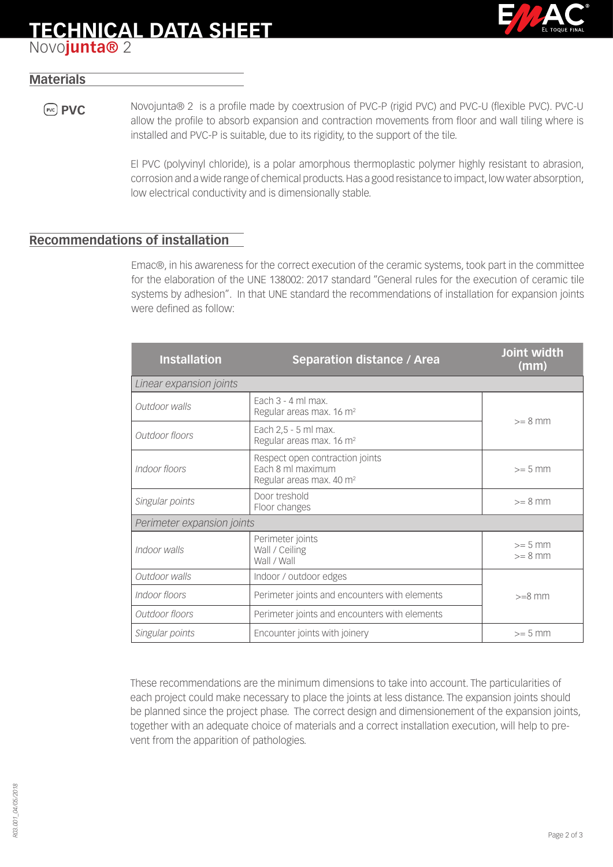# **TECHNICAL DATA SHEET**



## Novo**junta®** 2

## **Materials**

**PVC** Novojunta® 2 is a profile made by coextrusion of PVC-P (rigid PVC) and PVC-U (flexible PVC). PVC-U allow the profile to absorb expansion and contraction movements from floor and wall tiling where is installed and PVC-P is suitable, due to its rigidity, to the support of the tile.

> El PVC (polyvinyl chloride), is a polar amorphous thermoplastic polymer highly resistant to abrasion, corrosion and a wide range of chemical products. Has a good resistance to impact, low water absorption, low electrical conductivity and is dimensionally stable.

### **Recommendations of installation**

Emac®, in his awareness for the correct execution of the ceramic systems, took part in the committee for the elaboration of the UNE 138002: 2017 standard "General rules for the execution of ceramic tile systems by adhesion". In that UNE standard the recommendations of installation for expansion joints were defined as follow:

| <b>Installation</b>                                             | <b>Separation distance / Area</b>                                                            | Joint width<br>(mm)    |  |  |  |  |  |
|-----------------------------------------------------------------|----------------------------------------------------------------------------------------------|------------------------|--|--|--|--|--|
| Linear expansion joints                                         |                                                                                              |                        |  |  |  |  |  |
| Outdoor walls                                                   | Fach $3 - 4$ ml max.<br>Regular areas max. 16 m <sup>2</sup>                                 | $>= 8$ mm              |  |  |  |  |  |
| Outdoor floors                                                  | Each 2,5 - 5 ml max.<br>Regular areas max. 16 m <sup>2</sup>                                 |                        |  |  |  |  |  |
| Indoor floors                                                   | Respect open contraction joints<br>Each 8 ml maximum<br>Regular areas max. 40 m <sup>2</sup> |                        |  |  |  |  |  |
| Singular points                                                 | Door treshold<br>Floor changes                                                               |                        |  |  |  |  |  |
| Perimeter expansion joints                                      |                                                                                              |                        |  |  |  |  |  |
| Indoor walls                                                    | Perimeter joints<br>Wall / Ceiling<br>Wall / Wall                                            | $>= 5$ mm<br>$>= 8$ mm |  |  |  |  |  |
| Outdoor walls                                                   | Indoor / outdoor edges                                                                       |                        |  |  |  |  |  |
| Indoor floors                                                   | Perimeter joints and encounters with elements                                                | $>=8$ mm               |  |  |  |  |  |
| Perimeter joints and encounters with elements<br>Outdoor floors |                                                                                              |                        |  |  |  |  |  |
| Singular points                                                 | Encounter joints with joinery                                                                | $>= 5$ mm              |  |  |  |  |  |

These recommendations are the minimum dimensions to take into account. The particularities of each project could make necessary to place the joints at less distance. The expansion joints should be planned since the project phase. The correct design and dimensionement of the expansion joints, together with an adequate choice of materials and a correct installation execution, will help to prevent from the apparition of pathologies.